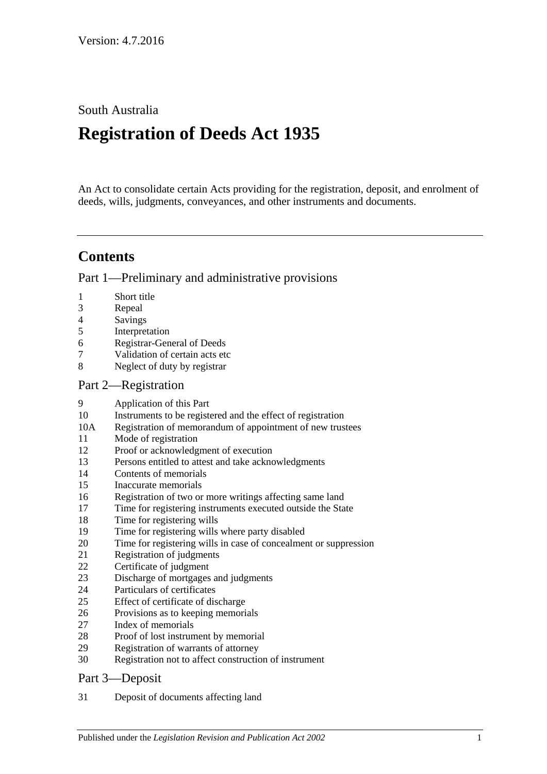South Australia

# **Registration of Deeds Act 1935**

An Act to consolidate certain Acts providing for the registration, deposit, and enrolment of deeds, wills, judgments, conveyances, and other instruments and documents.

# **Contents**

[Part 1—Preliminary and administrative provisions](#page-1-0)

- [Short title](#page-1-1)
- [Repeal](#page-1-2)
- [Savings](#page-2-0)
- [Interpretation](#page-2-1)
- [Registrar-General of Deeds](#page-2-2)
- [Validation of certain acts etc](#page-3-0)
- [Neglect of duty by registrar](#page-3-1)

#### [Part 2—Registration](#page-3-2)

- [Application of this Part](#page-3-3)
- [Instruments to be registered and the effect of registration](#page-3-4)
- 10A [Registration of memorandum of appointment of new trustees](#page-4-0)
- [Mode of registration](#page-4-1)
- [Proof or acknowledgment of execution](#page-4-2)
- [Persons entitled to attest and take acknowledgments](#page-4-3)
- [Contents of memorials](#page-5-0)
- [Inaccurate memorials](#page-5-1)
- [Registration of two or more writings affecting same land](#page-5-2)
- [Time for registering instruments executed outside the State](#page-6-0)
- [Time for registering wills](#page-6-1)
- [Time for registering wills where party disabled](#page-6-2)
- [Time for registering wills in case of concealment or suppression](#page-6-3)
- [Registration of judgments](#page-6-4)
- [Certificate of judgment](#page-7-0)
- [Discharge of mortgages and judgments](#page-7-1)
- [Particulars of certificates](#page-7-2)
- [Effect of certificate of discharge](#page-8-0)
- [Provisions as to keeping memorials](#page-8-1)
- [Index of memorials](#page-8-2)
- [Proof of lost instrument by memorial](#page-8-3)
- [Registration of warrants of attorney](#page-9-0)
- [Registration not to affect construction of instrument](#page-9-1)

#### [Part 3—Deposit](#page-9-2)

[Deposit of documents affecting land](#page-9-3)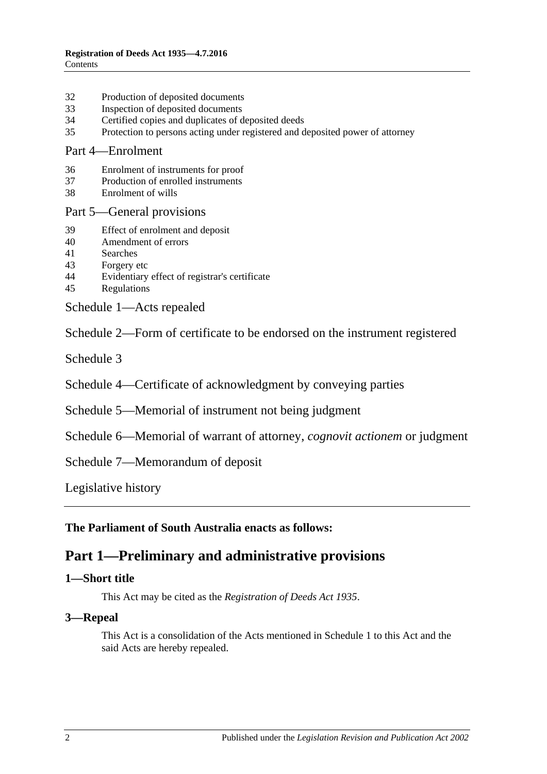- 32 [Production of deposited documents](#page-9-4)
- 33 [Inspection of deposited documents](#page-10-0)
- 34 [Certified copies and duplicates of deposited deeds](#page-10-1)
- 35 [Protection to persons acting under registered and deposited power of attorney](#page-10-2)

#### [Part 4—Enrolment](#page-10-3)

- 36 [Enrolment of instruments for proof](#page-10-4)
- 37 [Production of enrolled instruments](#page-11-0)
- 38 [Enrolment of wills](#page-11-1)

#### [Part 5—General provisions](#page-11-2)

- 39 [Effect of enrolment and deposit](#page-11-3)
- 40 [Amendment](#page-11-4) of errors
- 41 [Searches](#page-12-0)
- 43 [Forgery etc](#page-12-1)
- 44 [Evidentiary effect of registrar's certificate](#page-12-2)
- 45 [Regulations](#page-12-3)

[Schedule 1—Acts repealed](#page-13-0)

[Schedule 2—Form of certificate to be endorsed on the instrument registered](#page-13-1)

[Schedule 3](#page-13-2)

[Schedule 4—Certificate of acknowledgment by conveying parties](#page-14-0)

[Schedule 5—Memorial of instrument not being judgment](#page-14-1)

[Schedule 6—Memorial of warrant of attorney,](#page-16-0) *cognovit actionem* or judgment

[Schedule 7—Memorandum of deposit](#page-16-1)

[Legislative history](#page-17-0)

<span id="page-1-0"></span>**The Parliament of South Australia enacts as follows:**

# **Part 1—Preliminary and administrative provisions**

#### <span id="page-1-1"></span>**1—Short title**

This Act may be cited as the *Registration of Deeds Act 1935*.

#### <span id="page-1-2"></span>**3—Repeal**

This Act is a consolidation of the Acts mentioned in [Schedule 1](#page-13-0) to this Act and the said Acts are hereby repealed.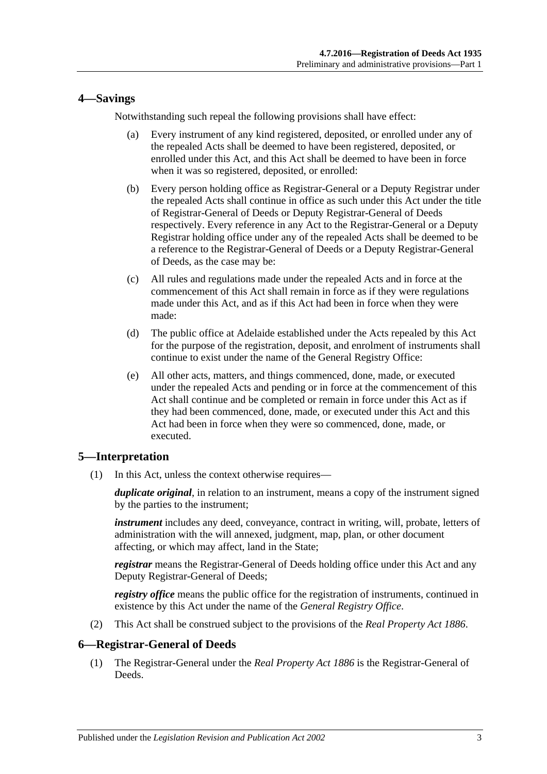### <span id="page-2-0"></span>**4—Savings**

Notwithstanding such repeal the following provisions shall have effect:

- (a) Every instrument of any kind registered, deposited, or enrolled under any of the repealed Acts shall be deemed to have been registered, deposited, or enrolled under this Act, and this Act shall be deemed to have been in force when it was so registered, deposited, or enrolled:
- (b) Every person holding office as Registrar-General or a Deputy Registrar under the repealed Acts shall continue in office as such under this Act under the title of Registrar-General of Deeds or Deputy Registrar-General of Deeds respectively. Every reference in any Act to the Registrar-General or a Deputy Registrar holding office under any of the repealed Acts shall be deemed to be a reference to the Registrar-General of Deeds or a Deputy Registrar-General of Deeds, as the case may be:
- (c) All rules and regulations made under the repealed Acts and in force at the commencement of this Act shall remain in force as if they were regulations made under this Act, and as if this Act had been in force when they were made:
- (d) The public office at Adelaide established under the Acts repealed by this Act for the purpose of the registration, deposit, and enrolment of instruments shall continue to exist under the name of the General Registry Office:
- (e) All other acts, matters, and things commenced, done, made, or executed under the repealed Acts and pending or in force at the commencement of this Act shall continue and be completed or remain in force under this Act as if they had been commenced, done, made, or executed under this Act and this Act had been in force when they were so commenced, done, made, or executed.

# <span id="page-2-1"></span>**5—Interpretation**

(1) In this Act, unless the context otherwise requires—

*duplicate original*, in relation to an instrument, means a copy of the instrument signed by the parties to the instrument;

*instrument* includes any deed, conveyance, contract in writing, will, probate, letters of administration with the will annexed, judgment, map, plan, or other document affecting, or which may affect, land in the State;

*registrar* means the Registrar-General of Deeds holding office under this Act and any Deputy Registrar-General of Deeds;

*registry office* means the public office for the registration of instruments, continued in existence by this Act under the name of the *General Registry Office*.

(2) This Act shall be construed subject to the provisions of the *[Real Property Act](http://www.legislation.sa.gov.au/index.aspx?action=legref&type=act&legtitle=Real%20Property%20Act%201886) 1886*.

# <span id="page-2-2"></span>**6—Registrar-General of Deeds**

(1) The Registrar-General under the *[Real Property Act](http://www.legislation.sa.gov.au/index.aspx?action=legref&type=act&legtitle=Real%20Property%20Act%201886) 1886* is the Registrar-General of Deeds.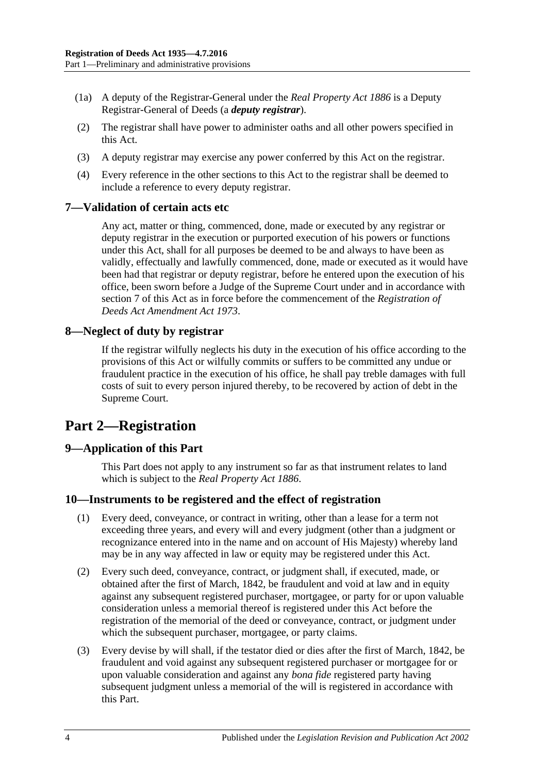- (1a) A deputy of the Registrar-General under the *[Real Property Act](http://www.legislation.sa.gov.au/index.aspx?action=legref&type=act&legtitle=Real%20Property%20Act%201886) 1886* is a Deputy Registrar-General of Deeds (a *deputy registrar*).
- (2) The registrar shall have power to administer oaths and all other powers specified in this Act.
- (3) A deputy registrar may exercise any power conferred by this Act on the registrar.
- (4) Every reference in the other sections to this Act to the registrar shall be deemed to include a reference to every deputy registrar.

#### <span id="page-3-0"></span>**7—Validation of certain acts etc**

Any act, matter or thing, commenced, done, made or executed by any registrar or deputy registrar in the execution or purported execution of his powers or functions under this Act, shall for all purposes be deemed to be and always to have been as validly, effectually and lawfully commenced, done, made or executed as it would have been had that registrar or deputy registrar, before he entered upon the execution of his office, been sworn before a Judge of the Supreme Court under and in accordance with [section](#page-3-0) 7 of this Act as in force before the commencement of the *[Registration of](http://www.legislation.sa.gov.au/index.aspx?action=legref&type=act&legtitle=Registration%20of%20Deeds%20Act%20Amendment%20Act%201973)  [Deeds Act Amendment Act](http://www.legislation.sa.gov.au/index.aspx?action=legref&type=act&legtitle=Registration%20of%20Deeds%20Act%20Amendment%20Act%201973) 1973*.

#### <span id="page-3-1"></span>**8—Neglect of duty by registrar**

If the registrar wilfully neglects his duty in the execution of his office according to the provisions of this Act or wilfully commits or suffers to be committed any undue or fraudulent practice in the execution of his office, he shall pay treble damages with full costs of suit to every person injured thereby, to be recovered by action of debt in the Supreme Court.

# <span id="page-3-2"></span>**Part 2—Registration**

#### <span id="page-3-3"></span>**9—Application of this Part**

This Part does not apply to any instrument so far as that instrument relates to land which is subject to the *[Real Property Act](http://www.legislation.sa.gov.au/index.aspx?action=legref&type=act&legtitle=Real%20Property%20Act%201886) 1886*.

#### <span id="page-3-4"></span>**10—Instruments to be registered and the effect of registration**

- (1) Every deed, conveyance, or contract in writing, other than a lease for a term not exceeding three years, and every will and every judgment (other than a judgment or recognizance entered into in the name and on account of His Majesty) whereby land may be in any way affected in law or equity may be registered under this Act.
- (2) Every such deed, conveyance, contract, or judgment shall, if executed, made, or obtained after the first of March, 1842, be fraudulent and void at law and in equity against any subsequent registered purchaser, mortgagee, or party for or upon valuable consideration unless a memorial thereof is registered under this Act before the registration of the memorial of the deed or conveyance, contract, or judgment under which the subsequent purchaser, mortgagee, or party claims.
- (3) Every devise by will shall, if the testator died or dies after the first of March, 1842, be fraudulent and void against any subsequent registered purchaser or mortgagee for or upon valuable consideration and against any *bona fide* registered party having subsequent judgment unless a memorial of the will is registered in accordance with this Part.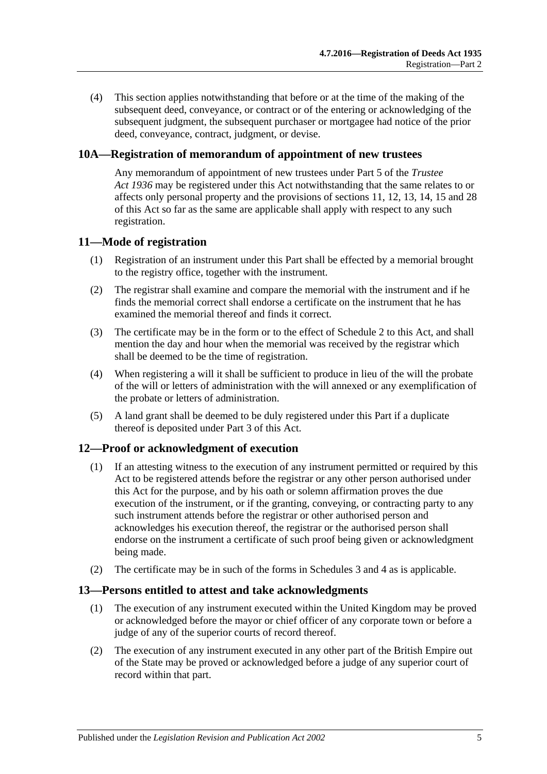(4) This section applies notwithstanding that before or at the time of the making of the subsequent deed, conveyance, or contract or of the entering or acknowledging of the subsequent judgment, the subsequent purchaser or mortgagee had notice of the prior deed, conveyance, contract, judgment. or devise.

#### <span id="page-4-0"></span>**10A—Registration of memorandum of appointment of new trustees**

Any memorandum of appointment of new trustees under Part 5 of the *[Trustee](http://www.legislation.sa.gov.au/index.aspx?action=legref&type=act&legtitle=Trustee%20Act%201936)  Act [1936](http://www.legislation.sa.gov.au/index.aspx?action=legref&type=act&legtitle=Trustee%20Act%201936)* may be registered under this Act notwithstanding that the same relates to or affects only personal property and the provisions of [sections](#page-4-1) 11, [12,](#page-4-2) [13,](#page-4-3) [14,](#page-5-0) [15](#page-5-1) and [28](#page-8-3) of this Act so far as the same are applicable shall apply with respect to any such registration.

#### <span id="page-4-1"></span>**11—Mode of registration**

- (1) Registration of an instrument under this Part shall be effected by a memorial brought to the registry office, together with the instrument.
- (2) The registrar shall examine and compare the memorial with the instrument and if he finds the memorial correct shall endorse a certificate on the instrument that he has examined the memorial thereof and finds it correct.
- (3) The certificate may be in the form or to the effect of [Schedule 2](#page-13-1) to this Act, and shall mention the day and hour when the memorial was received by the registrar which shall be deemed to be the time of registration.
- (4) When registering a will it shall be sufficient to produce in lieu of the will the probate of the will or letters of administration with the will annexed or any exemplification of the probate or letters of administration.
- (5) A land grant shall be deemed to be duly registered under this Part if a duplicate thereof is deposited under [Part 3](#page-9-2) of this Act.

#### <span id="page-4-2"></span>**12—Proof or acknowledgment of execution**

- (1) If an attesting witness to the execution of any instrument permitted or required by this Act to be registered attends before the registrar or any other person authorised under this Act for the purpose, and by his oath or solemn affirmation proves the due execution of the instrument, or if the granting, conveying, or contracting party to any such instrument attends before the registrar or other authorised person and acknowledges his execution thereof, the registrar or the authorised person shall endorse on the instrument a certificate of such proof being given or acknowledgment being made.
- (2) The certificate may be in such of the forms in [Schedules 3](#page-13-2) and [4](#page-14-0) as is applicable.

#### <span id="page-4-3"></span>**13—Persons entitled to attest and take acknowledgments**

- (1) The execution of any instrument executed within the United Kingdom may be proved or acknowledged before the mayor or chief officer of any corporate town or before a judge of any of the superior courts of record thereof.
- (2) The execution of any instrument executed in any other part of the British Empire out of the State may be proved or acknowledged before a judge of any superior court of record within that part.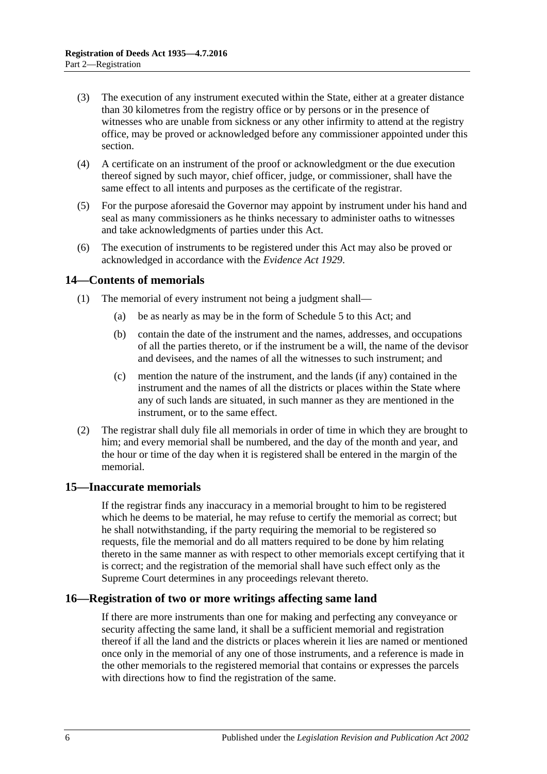- (3) The execution of any instrument executed within the State, either at a greater distance than 30 kilometres from the registry office or by persons or in the presence of witnesses who are unable from sickness or any other infirmity to attend at the registry office, may be proved or acknowledged before any commissioner appointed under this section.
- (4) A certificate on an instrument of the proof or acknowledgment or the due execution thereof signed by such mayor, chief officer, judge, or commissioner, shall have the same effect to all intents and purposes as the certificate of the registrar.
- (5) For the purpose aforesaid the Governor may appoint by instrument under his hand and seal as many commissioners as he thinks necessary to administer oaths to witnesses and take acknowledgments of parties under this Act.
- (6) The execution of instruments to be registered under this Act may also be proved or acknowledged in accordance with the *[Evidence Act](http://www.legislation.sa.gov.au/index.aspx?action=legref&type=act&legtitle=Evidence%20Act%201929) 1929*.

### <span id="page-5-0"></span>**14—Contents of memorials**

- (1) The memorial of every instrument not being a judgment shall—
	- (a) be as nearly as may be in the form of [Schedule 5](#page-14-1) to this Act; and
	- (b) contain the date of the instrument and the names, addresses, and occupations of all the parties thereto, or if the instrument be a will, the name of the devisor and devisees, and the names of all the witnesses to such instrument; and
	- (c) mention the nature of the instrument, and the lands (if any) contained in the instrument and the names of all the districts or places within the State where any of such lands are situated, in such manner as they are mentioned in the instrument, or to the same effect.
- (2) The registrar shall duly file all memorials in order of time in which they are brought to him; and every memorial shall be numbered, and the day of the month and year, and the hour or time of the day when it is registered shall be entered in the margin of the memorial.

#### <span id="page-5-1"></span>**15—Inaccurate memorials**

If the registrar finds any inaccuracy in a memorial brought to him to be registered which he deems to be material, he may refuse to certify the memorial as correct; but he shall notwithstanding, if the party requiring the memorial to be registered so requests, file the memorial and do all matters required to be done by him relating thereto in the same manner as with respect to other memorials except certifying that it is correct; and the registration of the memorial shall have such effect only as the Supreme Court determines in any proceedings relevant thereto.

#### <span id="page-5-2"></span>**16—Registration of two or more writings affecting same land**

If there are more instruments than one for making and perfecting any conveyance or security affecting the same land, it shall be a sufficient memorial and registration thereof if all the land and the districts or places wherein it lies are named or mentioned once only in the memorial of any one of those instruments, and a reference is made in the other memorials to the registered memorial that contains or expresses the parcels with directions how to find the registration of the same.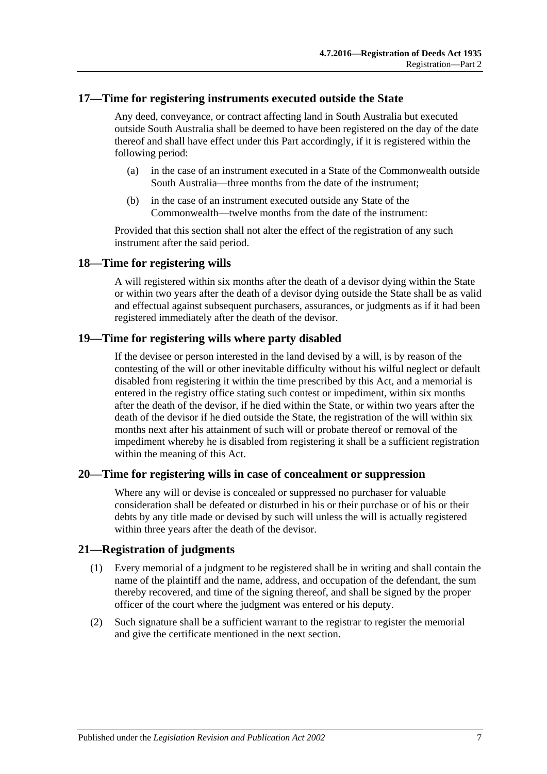#### <span id="page-6-0"></span>**17—Time for registering instruments executed outside the State**

Any deed, conveyance, or contract affecting land in South Australia but executed outside South Australia shall be deemed to have been registered on the day of the date thereof and shall have effect under this Part accordingly, if it is registered within the following period:

- (a) in the case of an instrument executed in a State of the Commonwealth outside South Australia—three months from the date of the instrument;
- (b) in the case of an instrument executed outside any State of the Commonwealth—twelve months from the date of the instrument:

Provided that this section shall not alter the effect of the registration of any such instrument after the said period.

#### <span id="page-6-1"></span>**18—Time for registering wills**

A will registered within six months after the death of a devisor dying within the State or within two years after the death of a devisor dying outside the State shall be as valid and effectual against subsequent purchasers, assurances, or judgments as if it had been registered immediately after the death of the devisor.

#### <span id="page-6-2"></span>**19—Time for registering wills where party disabled**

If the devisee or person interested in the land devised by a will, is by reason of the contesting of the will or other inevitable difficulty without his wilful neglect or default disabled from registering it within the time prescribed by this Act, and a memorial is entered in the registry office stating such contest or impediment, within six months after the death of the devisor, if he died within the State, or within two years after the death of the devisor if he died outside the State, the registration of the will within six months next after his attainment of such will or probate thereof or removal of the impediment whereby he is disabled from registering it shall be a sufficient registration within the meaning of this Act.

#### <span id="page-6-3"></span>**20—Time for registering wills in case of concealment or suppression**

Where any will or devise is concealed or suppressed no purchaser for valuable consideration shall be defeated or disturbed in his or their purchase or of his or their debts by any title made or devised by such will unless the will is actually registered within three years after the death of the devisor.

#### <span id="page-6-4"></span>**21—Registration of judgments**

- (1) Every memorial of a judgment to be registered shall be in writing and shall contain the name of the plaintiff and the name, address, and occupation of the defendant, the sum thereby recovered, and time of the signing thereof, and shall be signed by the proper officer of the court where the judgment was entered or his deputy.
- (2) Such signature shall be a sufficient warrant to the registrar to register the memorial and give the certificate mentioned in the next section.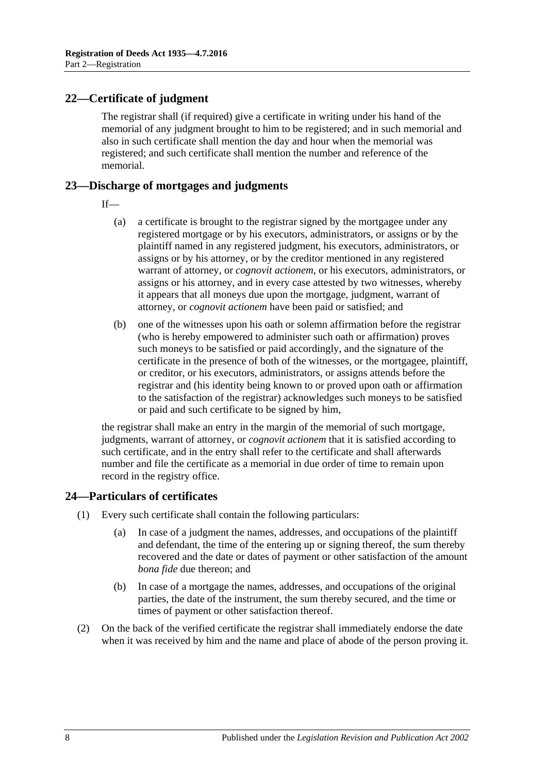### <span id="page-7-0"></span>**22—Certificate of judgment**

The registrar shall (if required) give a certificate in writing under his hand of the memorial of any judgment brought to him to be registered; and in such memorial and also in such certificate shall mention the day and hour when the memorial was registered; and such certificate shall mention the number and reference of the memorial.

#### <span id="page-7-1"></span>**23—Discharge of mortgages and judgments**

- If—
	- (a) a certificate is brought to the registrar signed by the mortgagee under any registered mortgage or by his executors, administrators, or assigns or by the plaintiff named in any registered judgment, his executors, administrators, or assigns or by his attorney, or by the creditor mentioned in any registered warrant of attorney, or *cognovit actionem*, or his executors, administrators, or assigns or his attorney, and in every case attested by two witnesses, whereby it appears that all moneys due upon the mortgage, judgment, warrant of attorney, or *cognovit actionem* have been paid or satisfied; and
	- (b) one of the witnesses upon his oath or solemn affirmation before the registrar (who is hereby empowered to administer such oath or affirmation) proves such moneys to be satisfied or paid accordingly, and the signature of the certificate in the presence of both of the witnesses, or the mortgagee, plaintiff, or creditor, or his executors, administrators, or assigns attends before the registrar and (his identity being known to or proved upon oath or affirmation to the satisfaction of the registrar) acknowledges such moneys to be satisfied or paid and such certificate to be signed by him,

the registrar shall make an entry in the margin of the memorial of such mortgage, judgments, warrant of attorney, or *cognovit actionem* that it is satisfied according to such certificate, and in the entry shall refer to the certificate and shall afterwards number and file the certificate as a memorial in due order of time to remain upon record in the registry office.

#### <span id="page-7-2"></span>**24—Particulars of certificates**

- (1) Every such certificate shall contain the following particulars:
	- (a) In case of a judgment the names, addresses, and occupations of the plaintiff and defendant, the time of the entering up or signing thereof, the sum thereby recovered and the date or dates of payment or other satisfaction of the amount *bona fide* due thereon; and
	- (b) In case of a mortgage the names, addresses, and occupations of the original parties, the date of the instrument, the sum thereby secured, and the time or times of payment or other satisfaction thereof.
- (2) On the back of the verified certificate the registrar shall immediately endorse the date when it was received by him and the name and place of abode of the person proving it.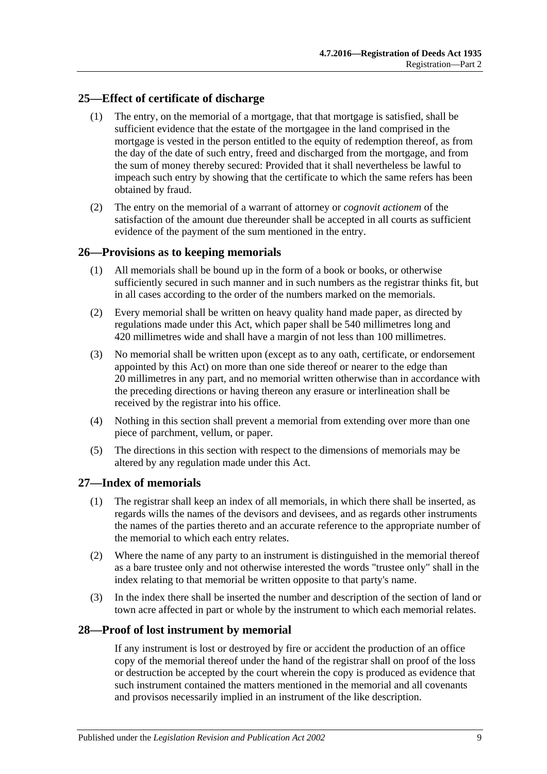# <span id="page-8-0"></span>**25—Effect of certificate of discharge**

- (1) The entry, on the memorial of a mortgage, that that mortgage is satisfied, shall be sufficient evidence that the estate of the mortgagee in the land comprised in the mortgage is vested in the person entitled to the equity of redemption thereof, as from the day of the date of such entry, freed and discharged from the mortgage, and from the sum of money thereby secured: Provided that it shall nevertheless be lawful to impeach such entry by showing that the certificate to which the same refers has been obtained by fraud.
- (2) The entry on the memorial of a warrant of attorney or *cognovit actionem* of the satisfaction of the amount due thereunder shall be accepted in all courts as sufficient evidence of the payment of the sum mentioned in the entry.

# <span id="page-8-1"></span>**26—Provisions as to keeping memorials**

- (1) All memorials shall be bound up in the form of a book or books, or otherwise sufficiently secured in such manner and in such numbers as the registrar thinks fit, but in all cases according to the order of the numbers marked on the memorials.
- (2) Every memorial shall be written on heavy quality hand made paper, as directed by regulations made under this Act, which paper shall be 540 millimetres long and 420 millimetres wide and shall have a margin of not less than 100 millimetres.
- (3) No memorial shall be written upon (except as to any oath, certificate, or endorsement appointed by this Act) on more than one side thereof or nearer to the edge than 20 millimetres in any part, and no memorial written otherwise than in accordance with the preceding directions or having thereon any erasure or interlineation shall be received by the registrar into his office.
- (4) Nothing in this section shall prevent a memorial from extending over more than one piece of parchment, vellum, or paper.
- (5) The directions in this section with respect to the dimensions of memorials may be altered by any regulation made under this Act.

#### <span id="page-8-2"></span>**27—Index of memorials**

- (1) The registrar shall keep an index of all memorials, in which there shall be inserted, as regards wills the names of the devisors and devisees, and as regards other instruments the names of the parties thereto and an accurate reference to the appropriate number of the memorial to which each entry relates.
- (2) Where the name of any party to an instrument is distinguished in the memorial thereof as a bare trustee only and not otherwise interested the words "trustee only" shall in the index relating to that memorial be written opposite to that party's name.
- (3) In the index there shall be inserted the number and description of the section of land or town acre affected in part or whole by the instrument to which each memorial relates.

#### <span id="page-8-3"></span>**28—Proof of lost instrument by memorial**

If any instrument is lost or destroyed by fire or accident the production of an office copy of the memorial thereof under the hand of the registrar shall on proof of the loss or destruction be accepted by the court wherein the copy is produced as evidence that such instrument contained the matters mentioned in the memorial and all covenants and provisos necessarily implied in an instrument of the like description.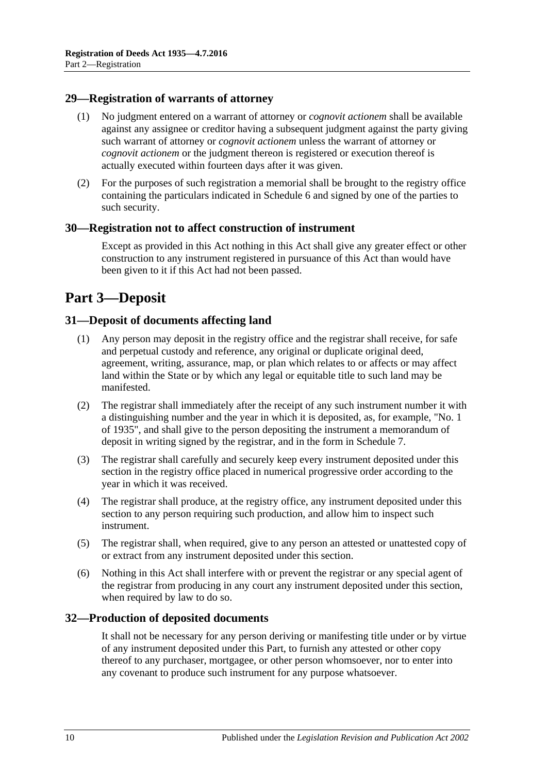#### <span id="page-9-0"></span>**29—Registration of warrants of attorney**

- (1) No judgment entered on a warrant of attorney or *cognovit actionem* shall be available against any assignee or creditor having a subsequent judgment against the party giving such warrant of attorney or *cognovit actionem* unless the warrant of attorney or *cognovit actionem* or the judgment thereon is registered or execution thereof is actually executed within fourteen days after it was given.
- (2) For the purposes of such registration a memorial shall be brought to the registry office containing the particulars indicated in [Schedule 6](#page-16-0) and signed by one of the parties to such security.

#### <span id="page-9-1"></span>**30—Registration not to affect construction of instrument**

Except as provided in this Act nothing in this Act shall give any greater effect or other construction to any instrument registered in pursuance of this Act than would have been given to it if this Act had not been passed.

# <span id="page-9-2"></span>**Part 3—Deposit**

#### <span id="page-9-3"></span>**31—Deposit of documents affecting land**

- (1) Any person may deposit in the registry office and the registrar shall receive, for safe and perpetual custody and reference, any original or duplicate original deed, agreement, writing, assurance, map, or plan which relates to or affects or may affect land within the State or by which any legal or equitable title to such land may be manifested.
- (2) The registrar shall immediately after the receipt of any such instrument number it with a distinguishing number and the year in which it is deposited, as, for example, "No. 1 of 1935", and shall give to the person depositing the instrument a memorandum of deposit in writing signed by the registrar, and in the form in [Schedule 7.](#page-16-1)
- (3) The registrar shall carefully and securely keep every instrument deposited under this section in the registry office placed in numerical progressive order according to the year in which it was received.
- (4) The registrar shall produce, at the registry office, any instrument deposited under this section to any person requiring such production, and allow him to inspect such instrument.
- (5) The registrar shall, when required, give to any person an attested or unattested copy of or extract from any instrument deposited under this section.
- (6) Nothing in this Act shall interfere with or prevent the registrar or any special agent of the registrar from producing in any court any instrument deposited under this section, when required by law to do so.

#### <span id="page-9-4"></span>**32—Production of deposited documents**

It shall not be necessary for any person deriving or manifesting title under or by virtue of any instrument deposited under this Part, to furnish any attested or other copy thereof to any purchaser, mortgagee, or other person whomsoever, nor to enter into any covenant to produce such instrument for any purpose whatsoever.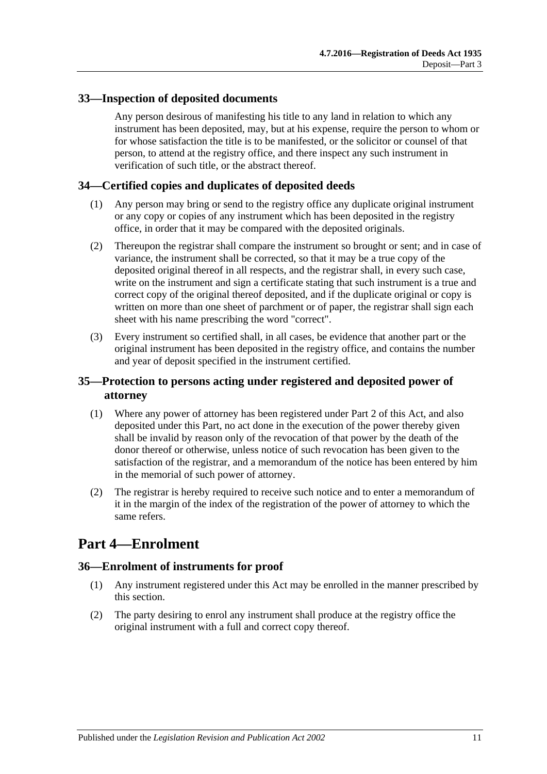### <span id="page-10-0"></span>**33—Inspection of deposited documents**

Any person desirous of manifesting his title to any land in relation to which any instrument has been deposited, may, but at his expense, require the person to whom or for whose satisfaction the title is to be manifested, or the solicitor or counsel of that person, to attend at the registry office, and there inspect any such instrument in verification of such title, or the abstract thereof.

### <span id="page-10-1"></span>**34—Certified copies and duplicates of deposited deeds**

- (1) Any person may bring or send to the registry office any duplicate original instrument or any copy or copies of any instrument which has been deposited in the registry office, in order that it may be compared with the deposited originals.
- (2) Thereupon the registrar shall compare the instrument so brought or sent; and in case of variance, the instrument shall be corrected, so that it may be a true copy of the deposited original thereof in all respects, and the registrar shall, in every such case, write on the instrument and sign a certificate stating that such instrument is a true and correct copy of the original thereof deposited, and if the duplicate original or copy is written on more than one sheet of parchment or of paper, the registrar shall sign each sheet with his name prescribing the word "correct".
- (3) Every instrument so certified shall, in all cases, be evidence that another part or the original instrument has been deposited in the registry office, and contains the number and year of deposit specified in the instrument certified.

# <span id="page-10-2"></span>**35—Protection to persons acting under registered and deposited power of attorney**

- (1) Where any power of attorney has been registered under [Part 2](#page-3-2) of this Act, and also deposited under this Part, no act done in the execution of the power thereby given shall be invalid by reason only of the revocation of that power by the death of the donor thereof or otherwise, unless notice of such revocation has been given to the satisfaction of the registrar, and a memorandum of the notice has been entered by him in the memorial of such power of attorney.
- (2) The registrar is hereby required to receive such notice and to enter a memorandum of it in the margin of the index of the registration of the power of attorney to which the same refers.

# <span id="page-10-3"></span>**Part 4—Enrolment**

#### <span id="page-10-4"></span>**36—Enrolment of instruments for proof**

- (1) Any instrument registered under this Act may be enrolled in the manner prescribed by this section.
- (2) The party desiring to enrol any instrument shall produce at the registry office the original instrument with a full and correct copy thereof.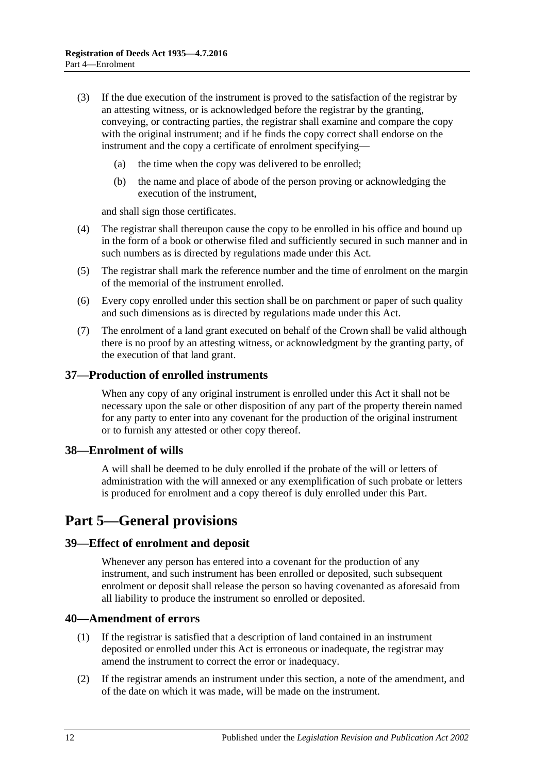- (3) If the due execution of the instrument is proved to the satisfaction of the registrar by an attesting witness, or is acknowledged before the registrar by the granting, conveying, or contracting parties, the registrar shall examine and compare the copy with the original instrument; and if he finds the copy correct shall endorse on the instrument and the copy a certificate of enrolment specifying—
	- (a) the time when the copy was delivered to be enrolled;
	- (b) the name and place of abode of the person proving or acknowledging the execution of the instrument,

and shall sign those certificates.

- (4) The registrar shall thereupon cause the copy to be enrolled in his office and bound up in the form of a book or otherwise filed and sufficiently secured in such manner and in such numbers as is directed by regulations made under this Act.
- (5) The registrar shall mark the reference number and the time of enrolment on the margin of the memorial of the instrument enrolled.
- (6) Every copy enrolled under this section shall be on parchment or paper of such quality and such dimensions as is directed by regulations made under this Act.
- (7) The enrolment of a land grant executed on behalf of the Crown shall be valid although there is no proof by an attesting witness, or acknowledgment by the granting party, of the execution of that land grant.

#### <span id="page-11-0"></span>**37—Production of enrolled instruments**

When any copy of any original instrument is enrolled under this Act it shall not be necessary upon the sale or other disposition of any part of the property therein named for any party to enter into any covenant for the production of the original instrument or to furnish any attested or other copy thereof.

#### <span id="page-11-1"></span>**38—Enrolment of wills**

A will shall be deemed to be duly enrolled if the probate of the will or letters of administration with the will annexed or any exemplification of such probate or letters is produced for enrolment and a copy thereof is duly enrolled under this Part.

# <span id="page-11-2"></span>**Part 5—General provisions**

#### <span id="page-11-3"></span>**39—Effect of enrolment and deposit**

Whenever any person has entered into a covenant for the production of any instrument, and such instrument has been enrolled or deposited, such subsequent enrolment or deposit shall release the person so having covenanted as aforesaid from all liability to produce the instrument so enrolled or deposited.

#### <span id="page-11-4"></span>**40—Amendment of errors**

- (1) If the registrar is satisfied that a description of land contained in an instrument deposited or enrolled under this Act is erroneous or inadequate, the registrar may amend the instrument to correct the error or inadequacy.
- (2) If the registrar amends an instrument under this section, a note of the amendment, and of the date on which it was made, will be made on the instrument.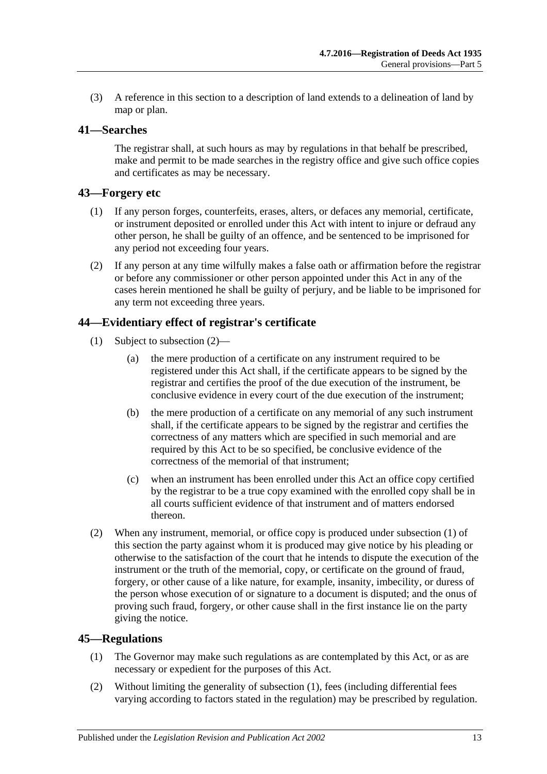(3) A reference in this section to a description of land extends to a delineation of land by map or plan.

### <span id="page-12-0"></span>**41—Searches**

The registrar shall, at such hours as may by regulations in that behalf be prescribed, make and permit to be made searches in the registry office and give such office copies and certificates as may be necessary.

### <span id="page-12-1"></span>**43—Forgery etc**

- (1) If any person forges, counterfeits, erases, alters, or defaces any memorial, certificate, or instrument deposited or enrolled under this Act with intent to injure or defraud any other person, he shall be guilty of an offence, and be sentenced to be imprisoned for any period not exceeding four years.
- (2) If any person at any time wilfully makes a false oath or affirmation before the registrar or before any commissioner or other person appointed under this Act in any of the cases herein mentioned he shall be guilty of perjury, and be liable to be imprisoned for any term not exceeding three years.

### <span id="page-12-5"></span><span id="page-12-2"></span>**44—Evidentiary effect of registrar's certificate**

- (1) Subject to [subsection](#page-12-4) (2)—
	- (a) the mere production of a certificate on any instrument required to be registered under this Act shall, if the certificate appears to be signed by the registrar and certifies the proof of the due execution of the instrument, be conclusive evidence in every court of the due execution of the instrument;
	- (b) the mere production of a certificate on any memorial of any such instrument shall, if the certificate appears to be signed by the registrar and certifies the correctness of any matters which are specified in such memorial and are required by this Act to be so specified, be conclusive evidence of the correctness of the memorial of that instrument;
	- (c) when an instrument has been enrolled under this Act an office copy certified by the registrar to be a true copy examined with the enrolled copy shall be in all courts sufficient evidence of that instrument and of matters endorsed thereon.
- <span id="page-12-4"></span>(2) When any instrument, memorial, or office copy is produced under [subsection](#page-12-5) (1) of this section the party against whom it is produced may give notice by his pleading or otherwise to the satisfaction of the court that he intends to dispute the execution of the instrument or the truth of the memorial, copy, or certificate on the ground of fraud, forgery, or other cause of a like nature, for example, insanity, imbecility, or duress of the person whose execution of or signature to a document is disputed; and the onus of proving such fraud, forgery, or other cause shall in the first instance lie on the party giving the notice.

#### <span id="page-12-6"></span><span id="page-12-3"></span>**45—Regulations**

- (1) The Governor may make such regulations as are contemplated by this Act, or as are necessary or expedient for the purposes of this Act.
- (2) Without limiting the generality of [subsection](#page-12-6) (1), fees (including differential fees varying according to factors stated in the regulation) may be prescribed by regulation.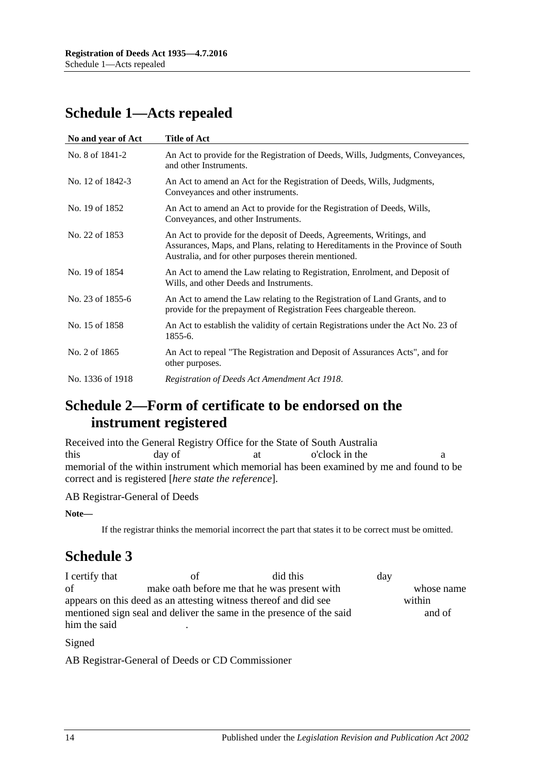# <span id="page-13-0"></span>**Schedule 1—Acts repealed**

| No and year of Act | <b>Title of Act</b>                                                                                                                                                                                              |
|--------------------|------------------------------------------------------------------------------------------------------------------------------------------------------------------------------------------------------------------|
| No. 8 of 1841-2    | An Act to provide for the Registration of Deeds, Wills, Judgments, Conveyances,<br>and other Instruments.                                                                                                        |
| No. 12 of 1842-3   | An Act to amend an Act for the Registration of Deeds, Wills, Judgments,<br>Conveyances and other instruments.                                                                                                    |
| No. 19 of 1852     | An Act to amend an Act to provide for the Registration of Deeds, Wills,<br>Conveyances, and other Instruments.                                                                                                   |
| No. 22 of 1853     | An Act to provide for the deposit of Deeds, Agreements, Writings, and<br>Assurances, Maps, and Plans, relating to Hereditaments in the Province of South<br>Australia, and for other purposes therein mentioned. |
| No. 19 of 1854     | An Act to amend the Law relating to Registration, Enrolment, and Deposit of<br>Wills, and other Deeds and Instruments.                                                                                           |
| No. 23 of 1855-6   | An Act to amend the Law relating to the Registration of Land Grants, and to<br>provide for the prepayment of Registration Fees chargeable thereon.                                                               |
| No. 15 of 1858     | An Act to establish the validity of certain Registrations under the Act No. 23 of<br>1855-6.                                                                                                                     |
| No. 2 of 1865      | An Act to repeal "The Registration and Deposit of Assurances Acts", and for<br>other purposes.                                                                                                                   |
| No. 1336 of 1918   | Registration of Deeds Act Amendment Act 1918.                                                                                                                                                                    |
|                    |                                                                                                                                                                                                                  |

# <span id="page-13-1"></span>**Schedule 2—Form of certificate to be endorsed on the instrument registered**

Received into the General Registry Office for the State of South Australia this day of at o'clock in the a memorial of the within instrument which memorial has been examined by me and found to be correct and is registered [*here state the reference*].

AB Registrar-General of Deeds

**Note—**

If the registrar thinks the memorial incorrect the part that states it to be correct must be omitted.

# <span id="page-13-2"></span>**Schedule 3**

I certify that of did this day of make oath before me that he was present with whose name appears on this deed as an attesting witness thereof and did see within mentioned sign seal and deliver the same in the presence of the said and of him the said

#### Signed

AB Registrar-General of Deeds or CD Commissioner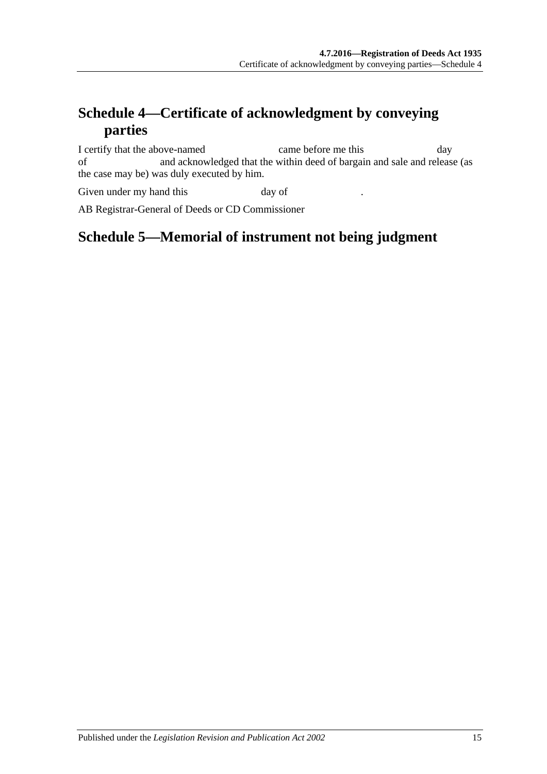# <span id="page-14-0"></span>**Schedule 4—Certificate of acknowledgment by conveying parties**

I certify that the above-named came before me this day of and acknowledged that the within deed of bargain and sale and release (as the case may be) was duly executed by him.

Given under my hand this  $\qquad \qquad$  day of

<span id="page-14-1"></span>AB Registrar-General of Deeds or CD Commissioner

# **Schedule 5—Memorial of instrument not being judgment**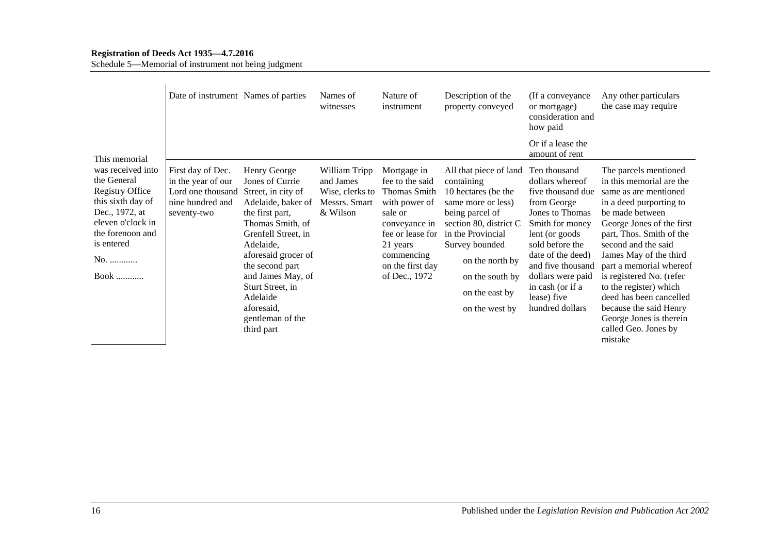#### **Registration of Deeds Act 1935—4.7.2016**

Schedule 5—Memorial of instrument not being judgment

|                                                                                                                                                                                | Date of instrument Names of parties                                                             |                                                                                                                                                                                                                                                                                                       | Names of<br>witnesses                                                      | Nature of<br>instrument                                                                                                                                                               | Description of the<br>property conveyed                                                                                                                                                                                                         | (If a conveyance)<br>or mortgage)<br>consideration and<br>how paid                                                                                                                                                                                                   | Any other particulars<br>the case may require                                                                                                                                                                                                                                                                                                                                                                                          |
|--------------------------------------------------------------------------------------------------------------------------------------------------------------------------------|-------------------------------------------------------------------------------------------------|-------------------------------------------------------------------------------------------------------------------------------------------------------------------------------------------------------------------------------------------------------------------------------------------------------|----------------------------------------------------------------------------|---------------------------------------------------------------------------------------------------------------------------------------------------------------------------------------|-------------------------------------------------------------------------------------------------------------------------------------------------------------------------------------------------------------------------------------------------|----------------------------------------------------------------------------------------------------------------------------------------------------------------------------------------------------------------------------------------------------------------------|----------------------------------------------------------------------------------------------------------------------------------------------------------------------------------------------------------------------------------------------------------------------------------------------------------------------------------------------------------------------------------------------------------------------------------------|
| This memorial                                                                                                                                                                  |                                                                                                 |                                                                                                                                                                                                                                                                                                       |                                                                            |                                                                                                                                                                                       |                                                                                                                                                                                                                                                 | Or if a lease the<br>amount of rent                                                                                                                                                                                                                                  |                                                                                                                                                                                                                                                                                                                                                                                                                                        |
| was received into<br>the General<br><b>Registry Office</b><br>this sixth day of<br>Dec., 1972, at<br>eleven o'clock in<br>the forenoon and<br>is entered<br>No.<br><b>Book</b> | First day of Dec.<br>in the year of our<br>Lord one thousand<br>nine hundred and<br>seventy-two | Henry George<br>Jones of Currie<br>Street, in city of<br>Adelaide, baker of<br>the first part,<br>Thomas Smith, of<br>Grenfell Street, in<br>Adelaide,<br>aforesaid grocer of<br>the second part<br>and James May, of<br>Sturt Street, in<br>Adelaide<br>aforesaid,<br>gentleman of the<br>third part | William Tripp<br>and James<br>Wise, clerks to<br>Messrs. Smart<br>& Wilson | Mortgage in<br>fee to the said<br><b>Thomas Smith</b><br>with power of<br>sale or<br>conveyance in<br>fee or lease for<br>21 years<br>commencing<br>on the first day<br>of Dec., 1972 | All that piece of land<br>containing<br>10 hectares (be the<br>same more or less)<br>being parcel of<br>section 80, district C<br>in the Provincial<br>Survey bounded<br>on the north by<br>on the south by<br>on the east by<br>on the west by | Ten thousand<br>dollars whereof<br>five thousand due<br>from George<br>Jones to Thomas<br>Smith for money<br>lent (or goods)<br>sold before the<br>date of the deed)<br>and five thousand<br>dollars were paid<br>in cash (or if a<br>lease) five<br>hundred dollars | The parcels mentioned<br>in this memorial are the<br>same as are mentioned<br>in a deed purporting to<br>be made between<br>George Jones of the first<br>part, Thos. Smith of the<br>second and the said<br>James May of the third<br>part a memorial whereof<br>is registered No. (refer<br>to the register) which<br>deed has been cancelled<br>because the said Henry<br>George Jones is therein<br>called Geo. Jones by<br>mistake |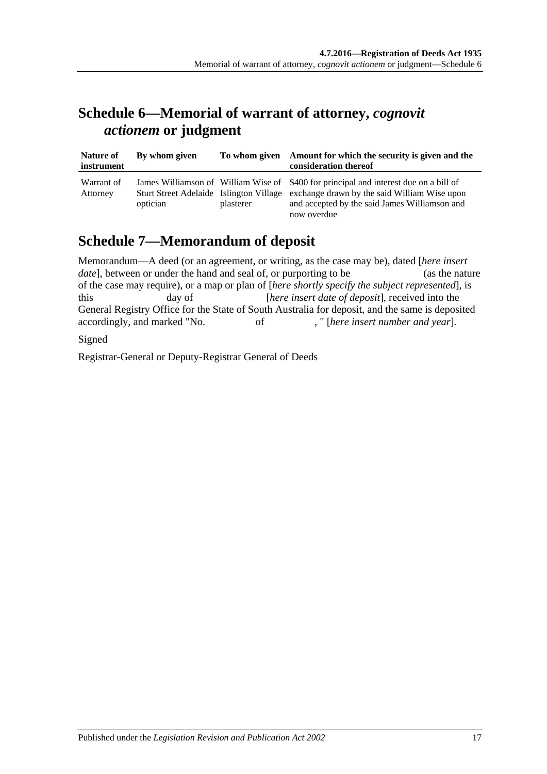# <span id="page-16-0"></span>**Schedule 6—Memorial of warrant of attorney,** *cognovit actionem* **or judgment**

| Nature of<br>instrument | By whom given |           | To whom given Amount for which the security is given and the<br>consideration thereof                                                                                                                                                         |
|-------------------------|---------------|-----------|-----------------------------------------------------------------------------------------------------------------------------------------------------------------------------------------------------------------------------------------------|
| Warrant of<br>Attorney  | optician      | plasterer | James Williamson of William Wise of \$400 for principal and interest due on a bill of<br>Sturt Street Adelaide Islington Village exchange drawn by the said William Wise upon<br>and accepted by the said James Williamson and<br>now overdue |

# <span id="page-16-1"></span>**Schedule 7—Memorandum of deposit**

| Memorandum—A deed (or an agreement, or writing, as the case may be), dated [here insert         |                                                                                                  |    |                                                        |                |  |
|-------------------------------------------------------------------------------------------------|--------------------------------------------------------------------------------------------------|----|--------------------------------------------------------|----------------|--|
| <i>date</i> , between or under the hand and seal of, or purporting to be                        |                                                                                                  |    |                                                        | (as the nature |  |
|                                                                                                 | of the case may require), or a map or plan of [here shortly specify the subject represented], is |    |                                                        |                |  |
| this.                                                                                           | day of                                                                                           |    | <i>here insert date of deposit</i> , received into the |                |  |
| General Registry Office for the State of South Australia for deposit, and the same is deposited |                                                                                                  |    |                                                        |                |  |
| accordingly, and marked "No.                                                                    |                                                                                                  | of | , "[here insert number and year].                      |                |  |
| C <sub>ionod</sub>                                                                              |                                                                                                  |    |                                                        |                |  |

Signed

Registrar-General or Deputy-Registrar General of Deeds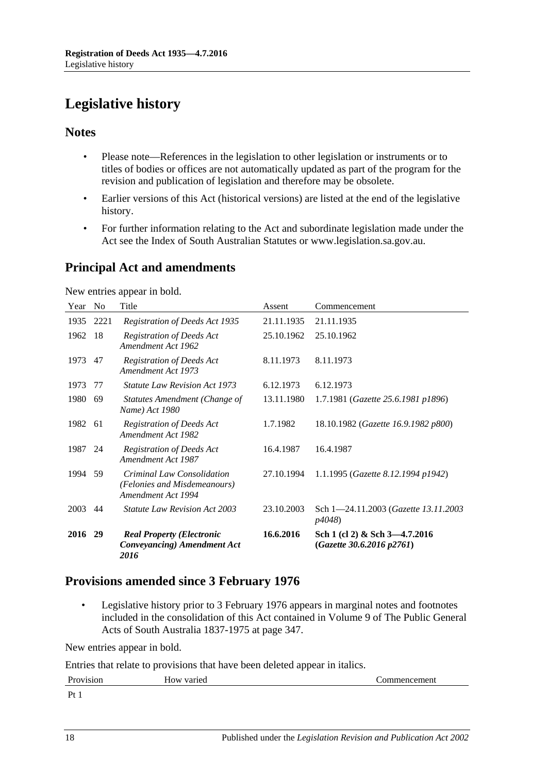# <span id="page-17-0"></span>**Legislative history**

### **Notes**

- Please note—References in the legislation to other legislation or instruments or to titles of bodies or offices are not automatically updated as part of the program for the revision and publication of legislation and therefore may be obsolete.
- Earlier versions of this Act (historical versions) are listed at the end of the legislative history.
- For further information relating to the Act and subordinate legislation made under the Act see the Index of South Australian Statutes or www.legislation.sa.gov.au.

# **Principal Act and amendments**

New entries appear in bold.

| Year | N <sub>0</sub> | Title                                                                            | Assent     | Commencement                                               |
|------|----------------|----------------------------------------------------------------------------------|------------|------------------------------------------------------------|
| 1935 | 2221           | Registration of Deeds Act 1935                                                   | 21.11.1935 | 21.11.1935                                                 |
| 1962 | 18             | <b>Registration of Deeds Act</b><br>Amendment Act 1962                           | 25.10.1962 | 25.10.1962                                                 |
| 1973 | 47             | <b>Registration of Deeds Act</b><br>Amendment Act 1973                           | 8.11.1973  | 8.11.1973                                                  |
| 1973 | 77             | <i>Statute Law Revision Act 1973</i>                                             | 6.12.1973  | 6.12.1973                                                  |
| 1980 | 69             | Statutes Amendment (Change of<br>Name) Act 1980                                  | 13.11.1980 | 1.7.1981 (Gazette 25.6.1981 p1896)                         |
| 1982 | -61            | <b>Registration of Deeds Act</b><br>Amendment Act 1982                           | 1.7.1982   | 18.10.1982 (Gazette 16.9.1982 p800)                        |
| 1987 | 24             | <b>Registration of Deeds Act</b><br>Amendment Act 1987                           | 16.4.1987  | 16.4.1987                                                  |
| 1994 | 59             | Criminal Law Consolidation<br>(Felonies and Misdemeanours)<br>Amendment Act 1994 | 27.10.1994 | 1.1.1995 (Gazette 8.12.1994 p1942)                         |
| 2003 | 44             | <i>Statute Law Revision Act 2003</i>                                             | 23.10.2003 | Sch 1-24.11.2003 (Gazette 13.11.2003)<br>p4048)            |
| 2016 | 29             | <b>Real Property (Electronic</b><br><b>Conveyancing</b> ) Amendment Act<br>2016  | 16.6.2016  | Sch 1 (cl 2) & Sch 3-4.7.2016<br>(Gazette 30.6.2016 p2761) |

# **Provisions amended since 3 February 1976**

• Legislative history prior to 3 February 1976 appears in marginal notes and footnotes included in the consolidation of this Act contained in Volume 9 of The Public General Acts of South Australia 1837-1975 at page 347.

New entries appear in bold.

Entries that relate to provisions that have been deleted appear in italics.

| Provision                                         | How varied | commencement |
|---------------------------------------------------|------------|--------------|
| $\mathbf{D}$ +<br>. .<br>$\overline{\phantom{a}}$ |            |              |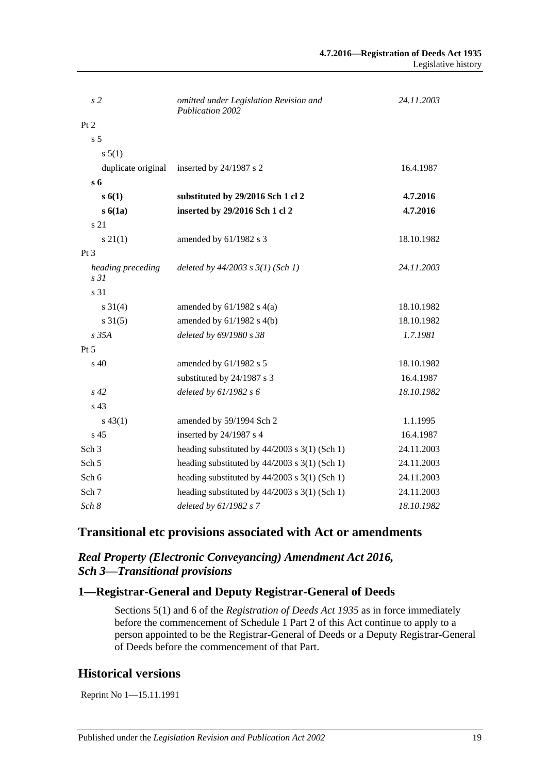| s2                                   | omitted under Legislation Revision and<br>Publication 2002 | 24.11.2003 |
|--------------------------------------|------------------------------------------------------------|------------|
| Pt 2                                 |                                                            |            |
| s <sub>5</sub>                       |                                                            |            |
| s 5(1)                               |                                                            |            |
| duplicate original                   | inserted by 24/1987 s 2                                    | 16.4.1987  |
| s <sub>6</sub>                       |                                                            |            |
| s(6(1))                              | substituted by 29/2016 Sch 1 cl 2                          | 4.7.2016   |
| s6(1a)                               | inserted by 29/2016 Sch 1 cl 2                             | 4.7.2016   |
| s 21                                 |                                                            |            |
| $s \, 21(1)$                         | amended by 61/1982 s 3                                     | 18.10.1982 |
| Pt <sub>3</sub>                      |                                                            |            |
| heading preceding<br>s <sub>31</sub> | deleted by $44/2003$ s $3(1)$ (Sch 1)                      | 24.11.2003 |
| s 31                                 |                                                            |            |
| $s \, 31(4)$                         | amended by $61/1982$ s $4(a)$                              | 18.10.1982 |
| $s \, 31(5)$                         | amended by $61/1982$ s $4(b)$                              | 18.10.1982 |
| $s$ 35 $A$                           | deleted by 69/1980 s 38                                    | 1.7.1981   |
| $Pt\,5$                              |                                                            |            |
| s <sub>40</sub>                      | amended by 61/1982 s 5                                     | 18.10.1982 |
|                                      | substituted by 24/1987 s 3                                 | 16.4.1987  |
| $s\,42$                              | deleted by $61/1982 s 6$                                   | 18.10.1982 |
| s 43                                 |                                                            |            |
| $s\,43(1)$                           | amended by 59/1994 Sch 2                                   | 1.1.1995   |
| s <sub>45</sub>                      | inserted by 24/1987 s 4                                    | 16.4.1987  |
| Sch <sub>3</sub>                     | heading substituted by $44/2003$ s 3(1) (Sch 1)            | 24.11.2003 |
| Sch <sub>5</sub>                     | heading substituted by $44/2003$ s 3(1) (Sch 1)            | 24.11.2003 |
| Sch 6                                | heading substituted by $44/2003$ s $3(1)$ (Sch 1)          | 24.11.2003 |
| Sch 7                                | heading substituted by $44/2003$ s $3(1)$ (Sch 1)          | 24.11.2003 |
| Sch 8                                | deleted by 61/1982 s 7                                     | 18.10.1982 |

# **Transitional etc provisions associated with Act or amendments**

### *Real Property (Electronic Conveyancing) Amendment Act 2016, Sch 3—Transitional provisions*

# **1—Registrar-General and Deputy Registrar-General of Deeds**

Sections 5(1) and 6 of the *[Registration of Deeds Act](http://www.legislation.sa.gov.au/index.aspx?action=legref&type=act&legtitle=Registration%20of%20Deeds%20Act%201935) 1935* as in force immediately before the commencement of Schedule 1 Part 2 of this Act continue to apply to a person appointed to be the Registrar-General of Deeds or a Deputy Registrar-General of Deeds before the commencement of that Part.

# **Historical versions**

Reprint No 1—15.11.1991